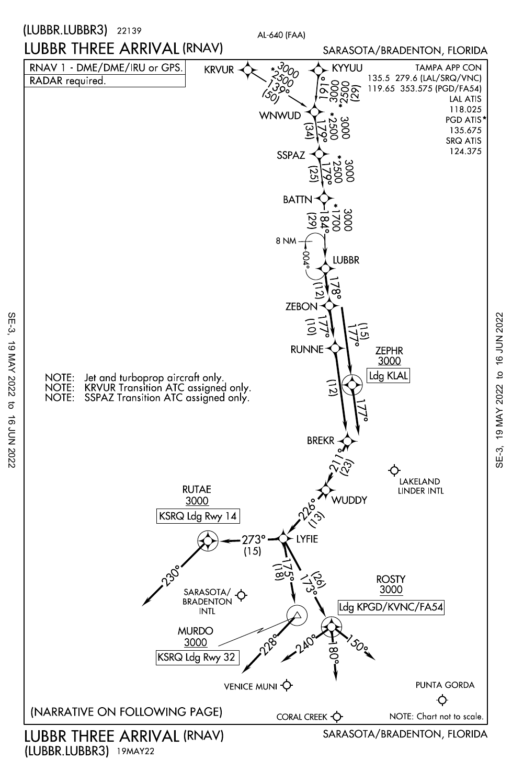

(LUBBR.LUBBR3) 19MAY22

SE-3, 19 MAY 2022 to 16 JUN 2022 SE-3, 19 MAY 2022 to 16 JUN 2022